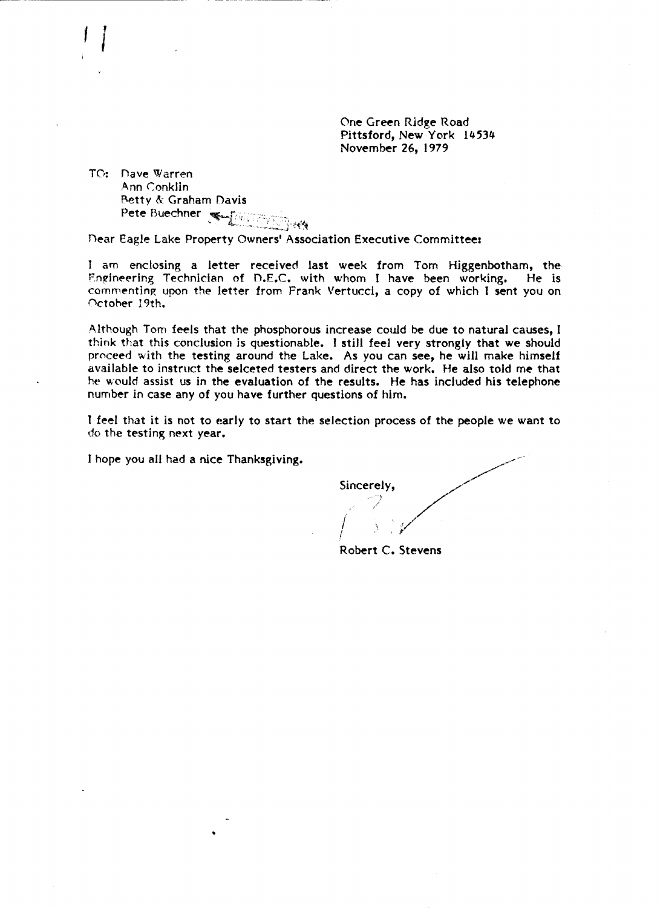One Green Ridge Road Pittsford, New York 14534 November 26, 1979

TO: Dave Warren Ann Conklin Betty & Graham Davis Pete Buechner West Company

Dear Eagle Lake Property Owners' Association Executive Committee:

I am enclosing a letter received last week from Tom Higgenbotham, the Engineering Technician of D.E.C. with whom I have been working. He is commenting upon the letter from Frank Vertucci, a copy of which I sent you on October 19th.

Although Tom feels that the phosphorous increase could be due to natural causes, I think that this conclusion is questionable. I still feel very strongly that we should proceed with the testing around the Lake. As you can see, he will make himself available to instruct the selceted testers and direct the work. He also told me that he would assist us in the evaluation of the results. He has included his telephone number in case any of you have further questions of him.

I feel that it is not to early to start the selection process of the people we want to do the testing next year.

I hope you all had a nice Thanksgiving.

Sincerely,

Robert C. Stevens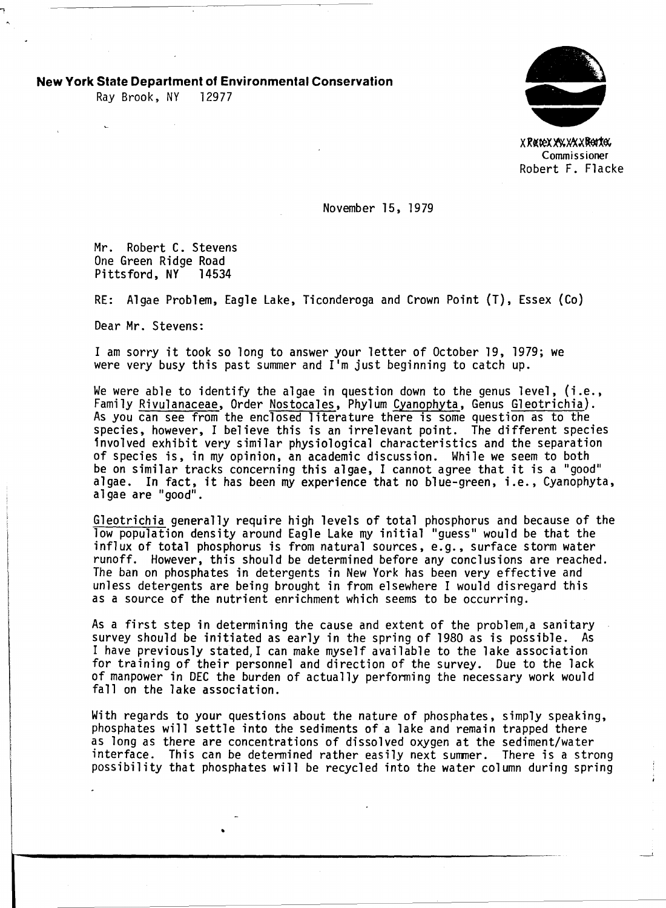**New York State Department of Environmental Conservation** 

Ray Brook, NY 12977



X Retex YAX XXX Rettex. Commissioner Robert F. Flacke

-'

November 15, 1979

Mr. Robert C. Stevens One Green Ridge Road<br>Pittsford, NY 14534 Pittsford, NY

RE: Algae Problem, Eagle Lake, Ticonderoga and Crown Point (T), Essex (Co)

Dear Mr. Stevens:

I am sorry it took so long to answer your letter of October 19, 1979; we were very busy this past summer and 11m just beginning to catch up.

We were able to identify the algae in question down to the genus level, (i.e., Family Rivulanaceae, Order Nostocales, Phylum Cyanophyta, Genus Gleotrichia). As you can see from the enclosed literature there is some question as to the species, however, I believe this is an irrelevant point. The different species 1nvolved exhibit very similar physiological characteristics and the separation of species is, in my opinion, an academic discussion. While we seem to both be on similar tracks concerning this algae, I cannot agree that it is a "good" algae. In fact, it has been my experience that no blue-green, i.e., Cyanophyta, algae are "good".

G1eotrichia generally require high levels of total phosphorus and because of the low population density around Eagle Lake my initial "guess" would be that the influx of total phosphorus is from natural sources, e.g., surface storm water runoff. However, this should be determined before any conclusions are reached. The ban on phosphates in detergents in New York has been very effective and unless detergents are being brought in from elsewhere I would disregard this as a source of the nutrient enrichment which seems to be occurring.

As a first step in determining the cause and extent of the problem, a sanitary survey should be initiated as early in the spring of 1980 as is possible. As I have previously stated,I can make myself available to the lake association for training of their personnel and direction of the survey. Due to the lack of manpower in DEC the burden of actually performing the necessary work would fall on the lake association.

With regards to your questions about the nature of phosphates, simply speaking, phosphates will settle into the sediments of a lake and remain trapped there as long as there are concentrations of dissolved oxygen at the sediment/water interface. This can be determined rather easily next summer. There is a strong<br>possibility that phosphates will be recycled into the water column during spring

•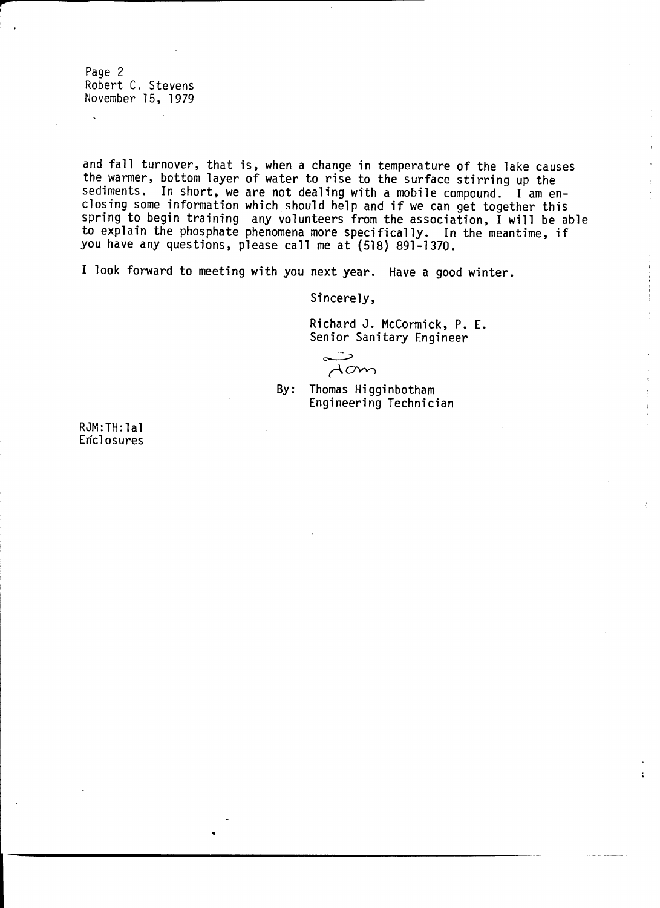Page 2 Robert C. Stevens November 15, 1979

**,...**  ,

> and fall turnover, that is, when a change in temperature of the lake causes the warmer, bottom layer of water to rise to the surface stirring up the sediments. In short, we are not dealing with a mobile compound. I am enclosing some information which should help and if we can get together this spring to begin training any volunteers from the association, I will be able to explain the phosphate phenomena more specifically. In the meantime, if you have any questions, please call me at (518) 891-1370.

I look forward to meeting with you next year. Have a good winter.

Sincerely,

Richard J. McCormick, P. E. Senior Sanitary Engineer<br>  $\begin{array}{c}\n\diagup \\
\diagdown\n\end{array}$ 

 $A$ cm

By: Thomas Higginbotham Engineering Technician

RJM :TH: 1 al **Enclosures** 

•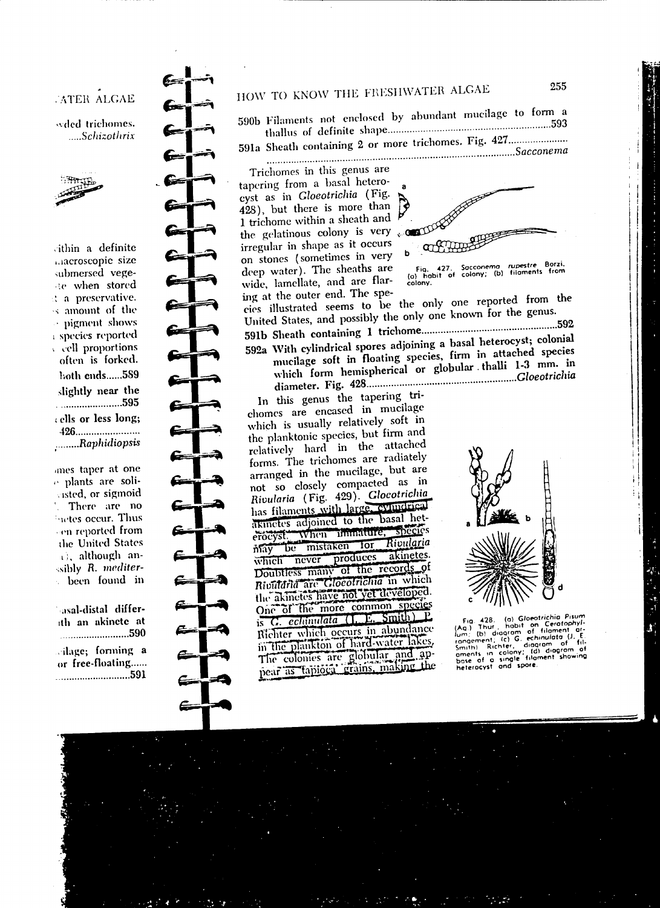# **ATER ALGAE**

wded trichomes. .....Schizothrix



sithin a definite macroscopic size submersed vegete when stored t a preservative. s amount of the · pigment shows species reported cell proportions often is forked. both ends......589 slightly near the cells or less long; ........Raphidiopsis

anes taper at one e plants are solivisted, or sigmoid There are no **Sactes occur. Thus** cen reported from the United States c), although anssibly R. mediterbeen found in k)

asal-distal differith an akinete at lage; forming a or free-floating...... 

# HOW TO KNOW THE FRESHWATER ALGAE

590b Filaments not enclosed by abundant mucilage to form a 

591a Sheath containing 2 or more trichomes. Fig. 427........................  $Saccone ma$ 

Trichomes in this genus are tapering from a basal heterocyst as in Gloeotrichia (Fig. 428), but there is more than 1 trichome within a sheath and the gelatinous colony is very irregular in shape as it occurs on stones (sometimes in very deep water). The sheaths are wide, lamellate, and are flaring at the outer end. The spe-



Fig. 427. Sacconema rupestre Borzi.<br>(o) habit of colony; (b) filaments from colony.

cies illustrated seems to be the only one reported from the United States, and possibly the only one known for the genus.

592a With cylindrical spores adjoining a basal heterocyst; colonial mucilage soft in floating species, firm in attached species which form hemispherical or globular thalli 1-3 mm. in 

In this genus the tapering trichomes are encased in mucilage which is usually relatively soft in the planktonic species, but firm and relatively hard in the attached forms. The trichomes are radiately arranged in the mucilage, but are not so closely compacted as in Rivularia (Fig. 429). Glocotrichia has filaments with large, evindrical akinetes adjoined to the basal heterocyst, When unmature, species may be mistaken for Rivularia may be mistaken for Abundances<br>which never produces akinetes.<br>Doubtless many of the records of Rivularia are Gloeolrichia in which the akinetes have not yet developed. One of the more common species is G. echimulata (I. E. Smith) P. Richter which occurs in abundance<br>in the plankton of hard-water lakes, The colonies are globular and appear as tapiocal grains, making the



Fig. 428. (a) Gloectrichia Pisum<br>(Ag.) Thur, habit on Ceratophyl-<br>(Ag.) Thur, habit on Ceratophyl-<br>congement; (c) G. echinulata (l. E.<br>Smith) Richter, diagnom of fil-<br>sments in colony; (d) diagrom of<br>base of a single fila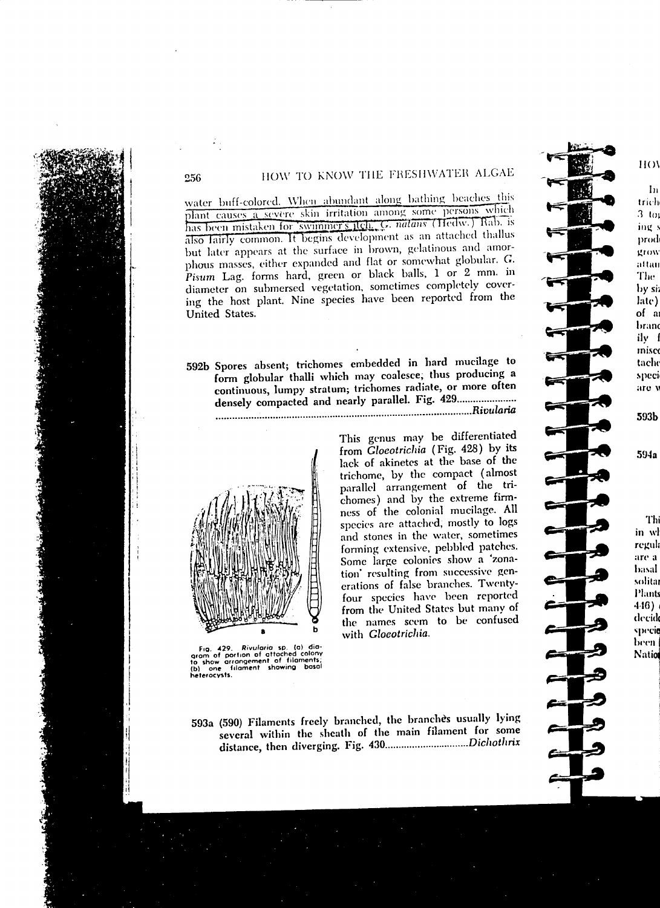## HOW TO KNOW THE FRESHWATER ALGAE

water buff-colored. When abundant along bathing beaches this plant causes a severe skin irritation among some persons which has been mistaken for swimmer's itch. G. natans (Tiedw.) Rab. is also lairly common. It begins development as an attached thallus but later appears at the surface in brown, gelatinous and amorphous masses, either expanded and flat or somewhat globular. G. Pisum Lag. forms hard, green or black balls, 1 or 2 mm. in diameter on submersed vegetation, sometimes completely covering the host plant. Nine species have been reported from the United States.

592b Spores absent; trichomes embedded in hard mucilage to form globular thalli which may coalesce, thus producing a continuous, lumpy stratum; trichomes radiate, or more often densely compacted and nearly parallel. Fig. 429...................... 



256

Fig. 429. Rivularia sp. (a) dia-<br>gram of portion of attached colony<br>to show arrangement of filaments;<br>(b) one filament showing basal<br>heterocysts.

This genus may be differentiated from Gloeotrichia (Fig. 428) by its lack of akinetes at the base of the trichome, by the compact (almost parallel arrangement of the trichomes) and by the extreme firmness of the colonial mucilage. All species are attached, mostly to logs and stones in the water, sometimes forming extensive, pebbled patches. Some large colonies show a 'zonation' resulting from successive generations of false branches. Twentyfour species have been reported from the United States but many of the names scem to be confused with Gloeotrichia.

593a (590) Filaments freely branched, the branches usually lying several within the sheath of the main filament for some 

## $H()$

 $\ln$ trich  $3<sub>10</sub>$ ing s prod grow attair The: by si: late) of a brand ily f misco tacho speci are y

594a

593b

Thi in wl regula are a basal solita **Plants**  $4.16)$ decid specie been | Nation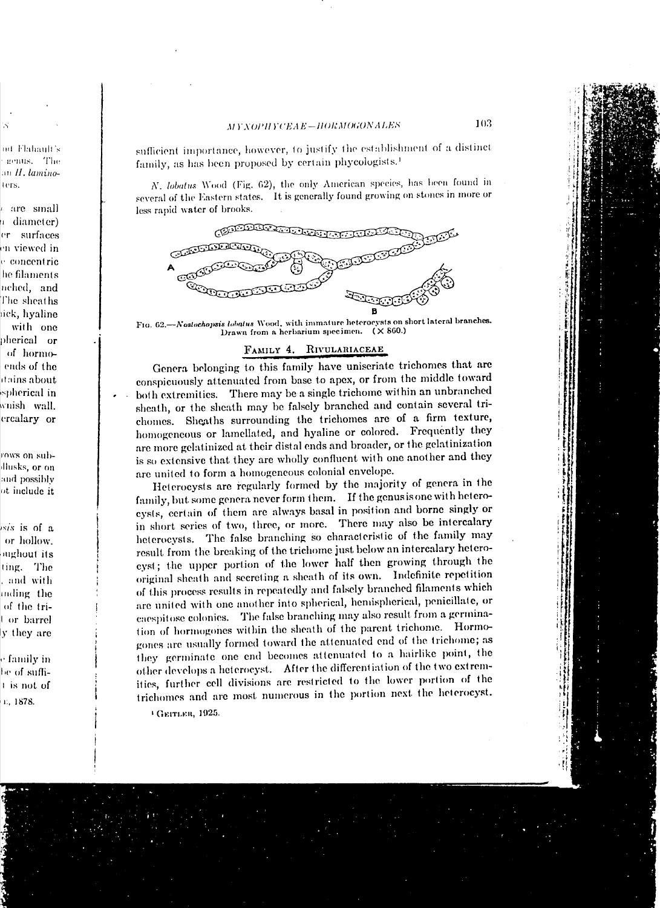## MYNOPHYCEAE-HORMOGONALES

nd Flahault's genus. The an II, laminoters.

are small a diameter) er surfaces en viewed in e concentric he filaments nched, and The sheaths tick, hyaline with one pherical or of hormoends of the itains about spherical in wnish wall. ercalary or

rows on subllusks, or on and possibly ot include it

*is is* of a or hollow. oughout its ting. The , and with inding the of the trior barrel ly they are

e family in be of suffit is not of E, 1878.

sufficient importance, however, to justify the establishment of a distinct family, as has been proposed by certain phycologists.<sup>1</sup>

N. lobatus Wood (Fig. 62), the only American species, has been found in several of the Eastern states. It is generally found growing on stones in more or less rapid water of brooks.



FIG. 62.-Nostochopsis lobatus Wood, with immature heterocysts on short lateral branches. Drawn from a herbarium specimen. (X 860.)

### FAMILY 4. RIVULARIACEAE

Genera belonging to this family have uniseriate trichomes that are conspicuously attenuated from base to apex, or from the middle toward both extremities. There may be a single trichome within an unbranched sheath, or the sheath may be falsely branched and contain several trichomes. Sheaths surrounding the trichomes are of a firm texture, homogeneous or lamellated, and hyaline or colored. Frequently they are more gelatinized at their distal ends and broader, or the gelatinization is so extensive that they are wholly confluent with one another and they are united to form a homogeneous colonial envelope.

Heterocysts are regularly formed by the majority of genera in the family, but some genera never form them. If the genus is one with heterocysts, certain of them are always basal in position and borne singly or in short series of two, three, or more. There may also be intercalary heterocysts. The false branching so characteristic of the family may result from the breaking of the trichome just below an intercalary heterocyst; the upper portion of the lower half then growing through the original sheath and secreting a sheath of its own. Indefinite repetition of this process results in repeatedly and falsely branched filaments which are united with one another into spherical, hemispherical, penicillate, or caespitose colonies. The false branching may also result from a germination of hormogones within the sheath of the parent trichome. Hormogones are usually formed toward the attenuated end of the trichome; as they germinate one end becomes attenuated to a hairlike point, the other develops a heterocyst. After the differentiation of the two extremities, further cell divisions are restricted to the lower portion of the trichomes and are most numerous in the portion next the heterocyst.

<sup>1</sup> GEITLER, 1925.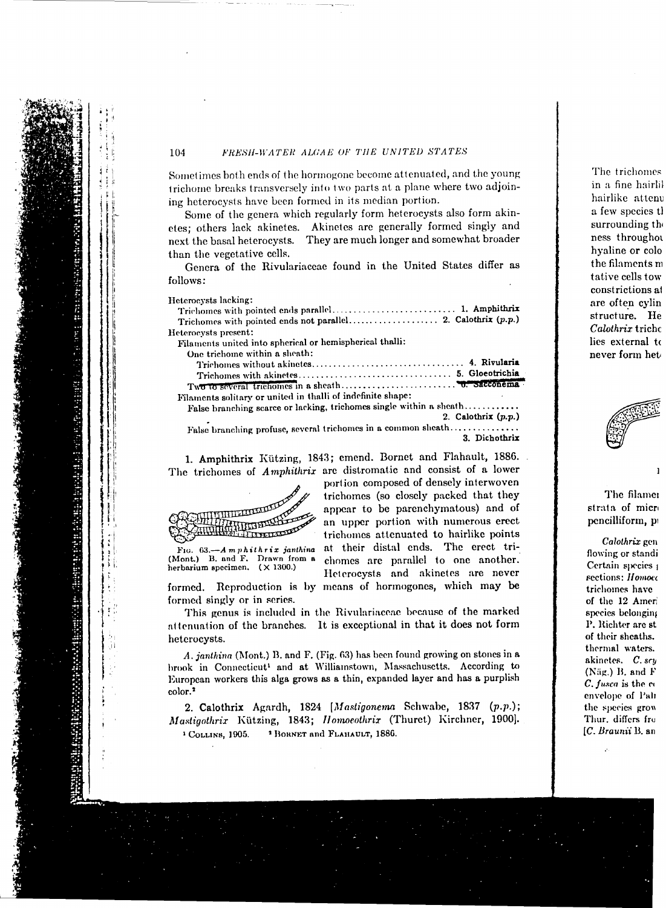#### FRESH-WATER ALGAE OF THE UNITED STATES

Sometimes both ends of the hormogone become attenuated, and the young trichome breaks transversely into two parts at a plane where two adjoining heterocysts have been formed in its median portion.

Some of the genera which regularly form heterocysts also form akinetes; others lack akinetes. Akinetes are generally formed singly and next the basal heterocysts. They are much longer and somewhat broader than the vegetative cells.

Genera of the Rivulariaceae found in the United States differ as follows:

Heterocysts lacking:

| Heterocysts present:                                                                                           |  |
|----------------------------------------------------------------------------------------------------------------|--|
| Filaments united into spherical or hemispherical thalli:                                                       |  |
| One trichome within a sheath:                                                                                  |  |
|                                                                                                                |  |
|                                                                                                                |  |
|                                                                                                                |  |
| and the contract of the contract of the second contract of the contract of the contract of the contract of the |  |

Filaments solitary or united in thalli of indefinite shape:

False branching scarce or lacking, trichomes single within a sheath........... 2. Calothrix  $(p.p.)$ 

portion composed of densely interwoven

trichomes (so closely packed that they appear to be parenchymatous) and of

an upper portion with numerous erect

trichomes attenuated to hairlike points

at their distal ends. The erect tri-

chomes are parallel to one another.

Heterocysts and akinetes are never

False branching profuse, several trichomes in a common sheath............... 3. Dichothrix

1. Amphithrix Kützing, 1843; emend. Bornet and Flahault, 1886. The trichomes of Amphithrix are distromatic and consist of a lower



Fig.  $63. - A$  m  $p$  hithrix janthina (Mont.) B. and F. Drawn from a herbarium specimen.  $(\times 1300.)$ 

formed. Reproduction is by means of hormogones, which may be formed singly or in series.

This genus is included in the Rivulariaceae because of the marked attenuation of the branches. It is exceptional in that it does not form heterocysts.

A. janthina (Mont.) B. and F. (Fig. 63) has been found growing on stones in a brook in Connecticut<sup>1</sup> and at Williamstown, Massachusetts. According to European workers this alga grows as a thin, expanded layer and has a purplish color.<sup>2</sup>

2. Calothrix Agardh, 1824 [Mastigonema Schwabe, 1837 (p.p.); Mastigothrix Kützing, 1843; Homoeothrix (Thuret) Kirchner, 1900]. <sup>2</sup> BORNET and FLAHAULT, 1886. <sup>1</sup> COLLINS, 1905.

The trichome: in a fine hairl hairlike atten a few species t surrounding th ness through hvaline or cold the filaments r tative cells toy constrictions a are often cylin structure. He Calothrix trich lies external t never form het



The filamer strata of micro pencilliform, p

Calothrix gen flowing or standi Certain species sections: *Homoec* trichomes have of the 12 Ameri species belonging P. Richter are st of their sheaths. thermal waters. akinetes. C. scy (Näg.) B. and F C. fusca is the co envelope of Pali the species grow Thur, differs fro [C. Braunii B. an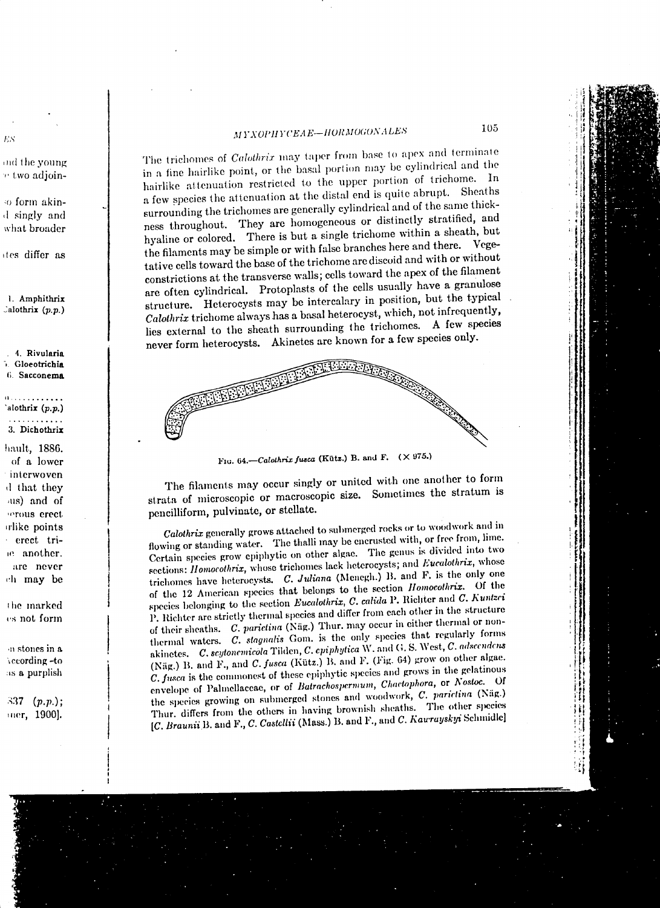## MYXOPHYCEAE-HORMOGONALES

The trichomes of *Calothrix* may taper from base to apex and terminate in a fine hairlike point, or the basal portion may be cylindrical and the hairlike attenuation restricted to the upper portion of trichome. In a few species the attenuation at the distal end is quite abrupt. Sheaths surrounding the trichomes are generally cylindrical and of the same thickness throughout. They are homogeneous or distinctly stratified, and hyaline or colored. There is but a single trichome within a sheath, but the filaments may be simple or with false branches here and there. Vegetative cells toward the base of the trichome are discoid and with or without constrictions at the transverse walls; cells toward the apex of the filament are often cylindrical. Protoplasts of the cells usually have a granulose structure. Heterocysts may be intercalary in position, but the typical Calothrix trichome always has a basal heterocyst, which, not infrequently, lies external to the sheath surrounding the trichomes. A few species never form heterocysts. Akinetes are known for a few species only.



Fig. 64.–Calothrix fusca (Kütz.) B. and F.  $(\times 975.)$ 

The filaments may occur singly or united with one another to form strata of microscopic or macroscopic size. Sometimes the stratum is pencilliform, pulvinate, or stellate.

Calothrix generally grows attached to submerged rocks or to woodwork and in flowing or standing water. The thalli may be encrusted with, or free from, lime. Certain species grow epiphytic on other algae. The genus is divided into two sections: *Homocothrix*, whose trichomes lack heterocysts; and *Eucalothrix*, whose trichomes have heterocysts. C. Juliana (Menegh.) B. and F. is the only one of the 12 American species that belongs to the section Homocothriz. Of the species belonging to the section Eucalothrix, C. calida P. Richter and C. Kuntzei P. Richter are strictly thermal species and differ from each other in the structure of their sheaths. C. parietina (Näg.) Thur. may occur in either thermal or nonthermal waters. C. stagnalis Gom. is the only species that regularly forms akinetes. C. scytonemicola Tilden, C. epiphytica W. and G. S. West, C. adscendens (Näg.) B. and F., and C. fusca (Kütz.) B. and F. (Fig. 64) grow on other algae. C. fusca is the commonest of these epiphytic species and grows in the gelatinous envelope of Palmellaceae, or of Batrachospermum, Chaetophora, or Nostoc. Of the species growing on submerged stones and woodwork, C. parietina (Näg.) Thur. differs from the others in having brownish sheaths. The other species [C. Braunii B. and F., C. Castellii (Mass.) B. and F., and C. Kaurayskyi Schmidle]

and the young r two adjoin-

ES.

o form akind singly and what broader

ites differ as

1. Amphithrix Calothrix  $(p,p)$ 

4. Rivularia Gloeotrichia 6. Sacconema

alothrix (p.p.) . . . . . . . . . .

3. Dichothrix

hault, 1886. of a lower interwoven d that they us) and of serous erect rlike points erect triie another. are never ch may be

the marked es not form

in stones in a vecording -to as a purplish

337  $(p.p.);$ mer, 1900].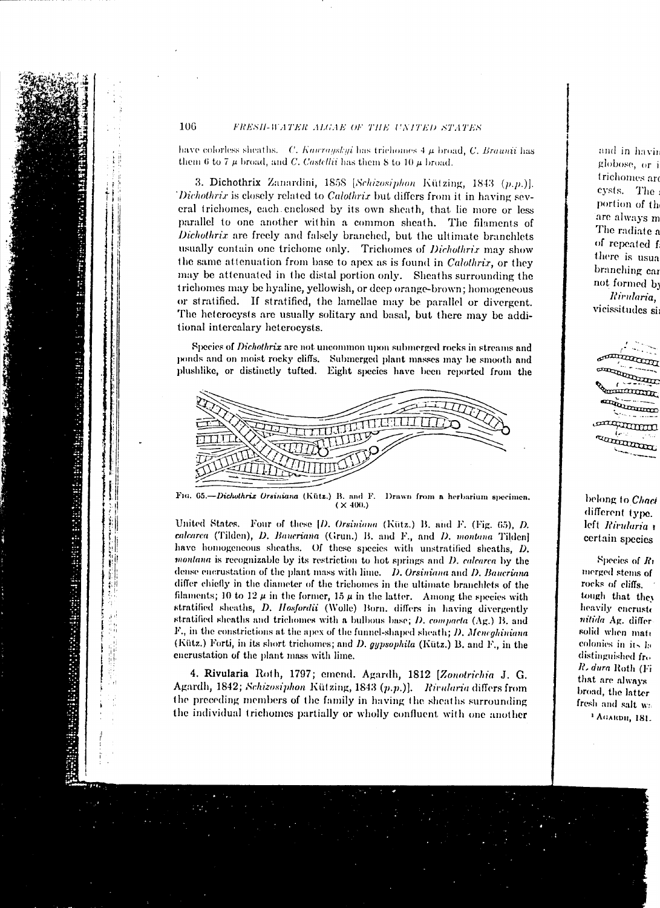#### FRESH-WATER ALGAE OF THE UNITED STATES

have colorless sheaths.  $C.$  Kaurayskyi has trichomes  $4 \mu$  broad,  $C.$  Braunii has them 6 to 7  $\mu$  broad, and C. Castellii has them 8 to 10  $\mu$  broad.

3. Dichothrix Zanardini, 1858 [Schizosiphon Kützing, 1843 (p.p.)]. Dichothrix is closely related to Calothrix but differs from it in having several trichomes, each enclosed by its own sheath, that lie more or less parallel to one another within a common sheath. The filaments of Dichothrix are freely and falsely branched, but the ultimate branchlets usually contain one trichome only. Trichomes of Dichothrix may show the same attenuation from base to apex as is found in *Calothrix*, or they may be attenuated in the distal portion only. Sheaths surrounding the trichomes may be hyaline, yellowish, or deep orange-brown; homogeneous or stratified. If stratified, the lamellae may be parallel or divergent. The heterocysts are usually solitary and basal, but there may be additional intercalary heterocysts.

Species of Dichothrix are not uncommon upon submerged rocks in streams and ponds and on moist rocky cliffs. Submerged plant masses may be smooth and plushlike, or distinctly tufted. Eight species have been reported from the



Fig. 65.--Dichothrix Orsiniana (Kütz.) B. and F. Drawn from a herbarium specimen.  $(X400.)$ 

United States. Four of these [D. Orsiniana (Kütz.) B. and F. (Fig. 65), D. calcarea (Tilden), D. Baueriana (Grun.) B. and F., and D. montana Tilden] have homogeneous sheaths. Of these species with unstratified sheaths, D. montana is recognizable by its restriction to hot springs and D. calcarca by the dense enerustation of the plant mass with lime. D. Orsiniana and D. Baueriana differ chiefly in the diameter of the trichomes in the ultimate branchlets of the filaments; 10 to 12  $\mu$  in the former, 15  $\mu$  in the latter. Among the species with stratified sheaths, D. Hosfordii (Wolle) Born. differs in having divergently stratified sheaths and trichomes with a bulbous base; D. compacta (Ag.) B. and F., in the constrictions at the apex of the funnel-shaped sheath; D. Meneghiniana (Kütz.) Forti, in its short trichomes; and D. gypsophila (Kütz.) B. and F., in the encrustation of the plant mass with lime.

4. Rivularia Roth, 1797; emend. Agardh, 1812 [Zonotrichia J. G. Agardh, 1842; Schizosiphon Kützing, 1843 (p.p.)]. Rivularia differs from the preceding members of the family in having the sheaths surrounding the individual trichomes partially or wholly confluent with one another

and in havir globose, or i trichomes are cysts. The portion of th are always m The radiate a of repeated f there is usua branching car not formed by Rivularia, vicissitudes si

mummm un der Ka **COLORED BY** 

belong to Chaci different type. left Rivularia certain species

Species of  $R_1$ merged stems of rocks of cliffs. tough that they heavily encruste nitida Ag. differ solid when mate colonies in its la distinguished fro R. dura Roth (Fi that are always broad, the latter fresh and salt wa <sup>1</sup> Абакри, 181.

106

http://www.http://www.http://www.http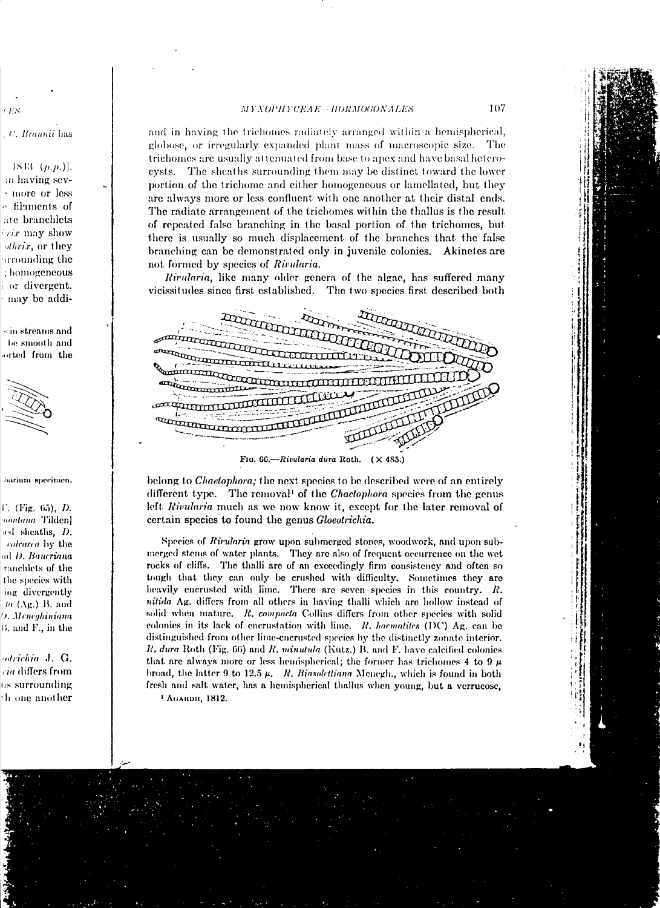#### MYXOPHYCEAE--HORMOGONALES

#### C. Braunii has

r vis

 $1843$  (*p.p.*)]. in having sevmore or less o filaments of ate branchlets *Frix* may show othrix, or they irrounding the ; homogeneous or divergent. may be addi-

 $\overline{\phantom{a}}$  in streams and be smooth and orted from the



barium specimen.

 $F.$  (Fig. 65), *D.* montana Tilden] and sheaths, D. calcarea by the nd D. Baueriana ranchlets of the the species with ing divergently da (Ag.) B. and 9. Meneghiniana 15, and F., in the

odrichia J. G.  $ra$  differs from iis surrounding th one another

and in having the trichomes radiately arranged within a hemispherical, globose, or irregularly expanded plant mass of macroscopic size. The trichomes are usually attenuated from base to apex and have basal heterocysts. The sheaths surrounding them may be distinct toward the lower portion of the trichome and either homogeneous or lamellated, but they are always more or less confluent with one another at their distal ends. The radiate arrangement of the trichomes within the thallus is the result of repeated false branching in the basal portion of the trichomes, but there is usually so much displacement of the branches that the false branching can be demonstrated only in juvenile colonies. Akinetes are not formed by species of Rivularia.

Rivularia, like many older genera of the algae, has suffered many vicissitudes since first established. The two species first described both

| Press.<br>$\cdot$ .<br>٠.<br>$\sim$         |  |  |
|---------------------------------------------|--|--|
| P<br>nassa.                                 |  |  |
| <b>CONTROLLER</b><br>Φ.<br><b>TILL</b>      |  |  |
| $\mathbf{m}_0$<br>استعسب                    |  |  |
| هم                                          |  |  |
| T<br>$\sim 10^{10}$                         |  |  |
| $\cdot$<br>$\mathbf{r}$                     |  |  |
| FIG. 66.-Rivularia dura Roth.<br>$(X$ 485.) |  |  |

belong to *Chaetophora*; the next species to be described were of an entirely different type. The removal<sup>1</sup> of the *Chaetophora* species from the genus left Rivularia much as we now know it, except for the later removal of certain species to found the genus Gloechrichia.

Species of Rivularia grow upon submerged stones, woodwork, and upon submerged stems of water plants. They are also of frequent occurrence on the wet rocks of cliffs. The thalli are of an exceedingly firm consistency and often so tough that they can only be crushed with difficulty. Sometimes they are heavily encrusted with lime. There are seven species in this country. R. nitida Ag. differs from all others in having thalli which are hollow instead of solid when mature. R. compacta Collins differs from other species with solid colonies in its lack of encrustation with lime. R. haematites (DC) Ag. can be distinguished from other lime-encrusted species by the distinctly zonate interior. R. dura Roth (Fig. 66) and R. minutula (Kütz.) B. and F. have calcified colonies that are always more or less hemispherical; the former has trichomes 4 to 9  $\mu$ broad, the latter 9 to 12.5  $\mu$ . R. Biasolettiana Menegh., which is found in both fresh and salt water, has a hemispherical thallus when young, but a verrucose, <sup>1</sup> Абании, 1812.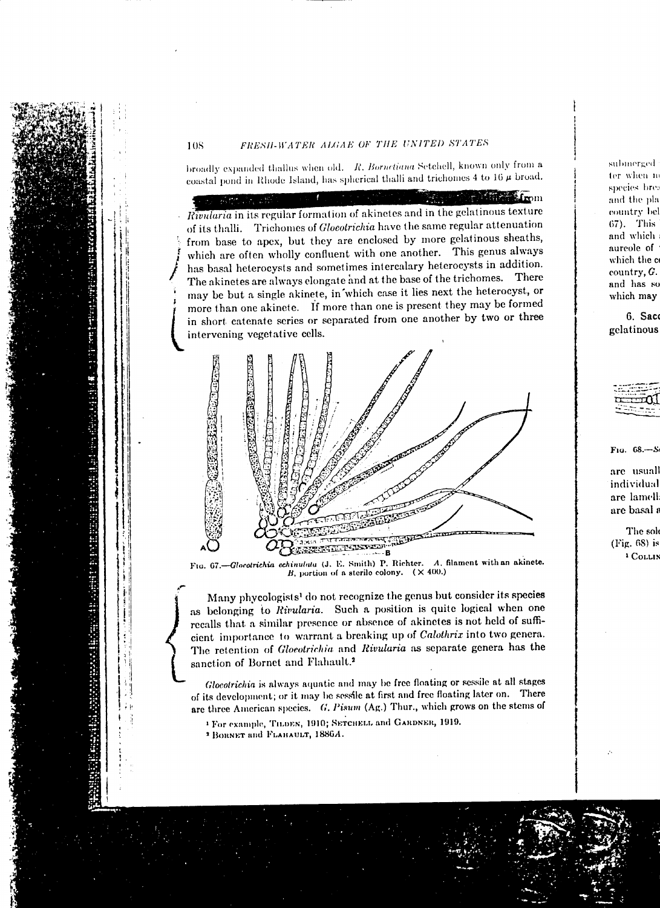## FRESH-WATER ALGAE OF THE UNITED STATES

broadly expanded thallus when old. R. Bornetiana Setchell, known only from a coastal pond in Rhode Island, has spherical thalli and trichomes 4 to 16  $\mu$  broad.

**Read of the Second Second** Actualizatio Rivularia in its regular formation of akinetes and in the gelatinous texture of its thalli. Trichomes of *Glocotrichia* have the same regular attenuation from base to apex, but they are enclosed by more gelatinous sheaths, which are often wholly confluent with one another. This genus always has basal heterocysts and sometimes intercalary heterocysts in addition. The akinetes are always elongate and at the base of the trichomes. There may be but a single akinete, in which case it lies next the heterocyst, or more than one akinete. If more than one is present they may be formed in short catenate series or separated from one another by two or three intervening vegetative cells.



Ftg. 67.-Glocotrichia echinulata (J. E. Smith) P. Richter. A. filament with an akinete. B, portion of a sterile colony.  $(\times 400.)$ 

Many phycologists<sup>1</sup> do not recognize the genus but consider its species as belonging to Rivularia. Such a position is quite logical when one recalls that a similar presence or absence of akinetes is not held of sufficient importance to warrant a breaking up of Calothrix into two genera. The retention of Gloeotrichia and Rivularia as separate genera has the sanction of Bornet and Flahault.<sup>2</sup>

Glocotrichia is always aquatic and may be free floating or sessile at all stages of its development; or it may be sessile at first and free floating later on. There are three American species. G. Pisum (Ag.) Thur., which grows on the stems of

<sup>1</sup> For example, THDEN, 1910; SETCHELL and GARDNER, 1919.

<sup>2</sup> BORNET and FLAHAULT, 1886A.

submerged ter when m species bre: and the pla country bel 67). This and which aureole of which the c  $country, G.$ and has so which may

6. Saco gelatinous

68.  $Fig.$ 

> are usuall individual are lamell are basal a

The sole (Fig. 68) is <sup>1</sup> Collin